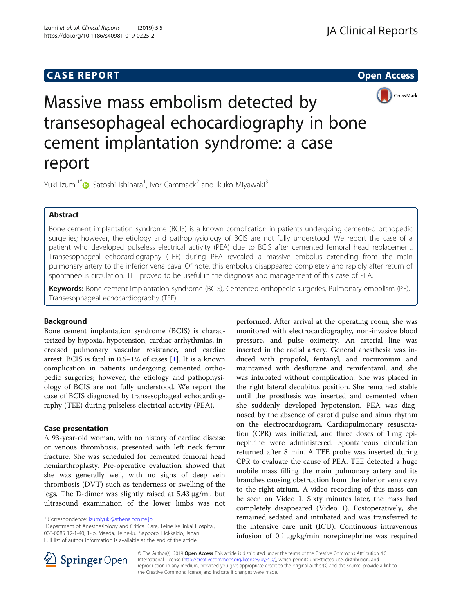# **CASE REPORT CASE REPORT CASE REPORT**



Massive mass embolism detected by transesophageal echocardiography in bone cement implantation syndrome: a case report

Yuki Izumi<sup>1[\\*](http://orcid.org/0000-0003-3004-906X)</sup>@, Satoshi Ishihara<sup>1</sup>, Ivor Cammack<sup>2</sup> and Ikuko Miyawaki<sup>3</sup>

## Abstract

Bone cement implantation syndrome (BCIS) is a known complication in patients undergoing cemented orthopedic surgeries; however, the etiology and pathophysiology of BCIS are not fully understood. We report the case of a patient who developed pulseless electrical activity (PEA) due to BCIS after cemented femoral head replacement. Transesophageal echocardiography (TEE) during PEA revealed a massive embolus extending from the main pulmonary artery to the inferior vena cava. Of note, this embolus disappeared completely and rapidly after return of spontaneous circulation. TEE proved to be useful in the diagnosis and management of this case of PEA.

Keywords: Bone cement implantation syndrome (BCIS), Cemented orthopedic surgeries, Pulmonary embolism (PE), Transesophageal echocardiography (TEE)

## Background

Bone cement implantation syndrome (BCIS) is characterized by hypoxia, hypotension, cardiac arrhythmias, increased pulmonary vascular resistance, and cardiac arrest. BCIS is fatal in 0.6–1% of cases [\[1](#page-2-0)]. It is a known complication in patients undergoing cemented orthopedic surgeries; however, the etiology and pathophysiology of BCIS are not fully understood. We report the case of BCIS diagnosed by transesophageal echocardiography (TEE) during pulseless electrical activity (PEA).

## Case presentation

A 93-year-old woman, with no history of cardiac disease or venous thrombosis, presented with left neck femur fracture. She was scheduled for cemented femoral head hemiarthroplasty. Pre-operative evaluation showed that she was generally well, with no signs of deep vein thrombosis (DVT) such as tenderness or swelling of the legs. The D-dimer was slightly raised at 5.43 μg/ml, but ultrasound examination of the lower limbs was not

performed. After arrival at the operating room, she was monitored with electrocardiography, non-invasive blood pressure, and pulse oximetry. An arterial line was inserted in the radial artery. General anesthesia was induced with propofol, fentanyl, and rocuronium and maintained with desflurane and remifentanil, and she was intubated without complication. She was placed in the right lateral decubitus position. She remained stable until the prosthesis was inserted and cemented when she suddenly developed hypotension. PEA was diagnosed by the absence of carotid pulse and sinus rhythm on the electrocardiogram. Cardiopulmonary resuscitation (CPR) was initiated, and three doses of 1 mg epinephrine were administered. Spontaneous circulation returned after 8 min. A TEE probe was inserted during CPR to evaluate the cause of PEA. TEE detected a huge mobile mass filling the main pulmonary artery and its branches causing obstruction from the inferior vena cava to the right atrium. A video recording of this mass can be seen on Video 1. Sixty minutes later, the mass had completely disappeared (Video 1). Postoperatively, she remained sedated and intubated and was transferred to the intensive care unit (ICU). Continuous intravenous infusion of 0.1 μg/kg/min norepinephrine was required



© The Author(s). 2019 Open Access This article is distributed under the terms of the Creative Commons Attribution 4.0 International License ([http://creativecommons.org/licenses/by/4.0/\)](http://creativecommons.org/licenses/by/4.0/), which permits unrestricted use, distribution, and reproduction in any medium, provided you give appropriate credit to the original author(s) and the source, provide a link to the Creative Commons license, and indicate if changes were made.

<sup>\*</sup> Correspondence: [izumiyuki@athena.ocn.ne.jp](mailto:izumiyuki@athena.ocn.ne.jp) <sup>1</sup>

<sup>&</sup>lt;sup>1</sup>Department of Anesthesiology and Critical Care, Teine Keijinkai Hospital, 006-0085 12-1-40, 1-jo, Maeda, Teine-ku, Sapporo, Hokkaido, Japan Full list of author information is available at the end of the article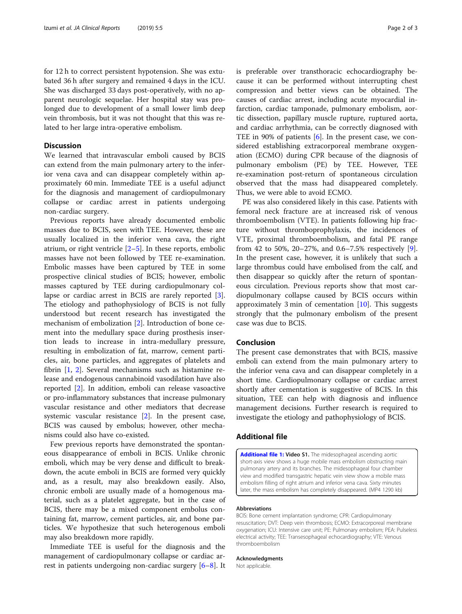for 12 h to correct persistent hypotension. She was extubated 36 h after surgery and remained 4 days in the ICU. She was discharged 33 days post-operatively, with no apparent neurologic sequelae. Her hospital stay was prolonged due to development of a small lower limb deep vein thrombosis, but it was not thought that this was related to her large intra-operative embolism.

## **Discussion**

We learned that intravascular emboli caused by BCIS can extend from the main pulmonary artery to the inferior vena cava and can disappear completely within approximately 60 min. Immediate TEE is a useful adjunct for the diagnosis and management of cardiopulmonary collapse or cardiac arrest in patients undergoing non-cardiac surgery.

Previous reports have already documented embolic masses due to BCIS, seen with TEE. However, these are usually localized in the inferior vena cava, the right atrium, or right ventricle  $[2-5]$  $[2-5]$  $[2-5]$ . In these reports, embolic masses have not been followed by TEE re-examination. Embolic masses have been captured by TEE in some prospective clinical studies of BCIS; however, embolic masses captured by TEE during cardiopulmonary collapse or cardiac arrest in BCIS are rarely reported [\[3](#page-2-0)]. The etiology and pathophysiology of BCIS is not fully understood but recent research has investigated the mechanism of embolization [\[2](#page-2-0)]. Introduction of bone cement into the medullary space during prosthesis insertion leads to increase in intra-medullary pressure, resulting in embolization of fat, marrow, cement particles, air, bone particles, and aggregates of platelets and fibrin [\[1](#page-2-0), [2](#page-2-0)]. Several mechanisms such as histamine release and endogenous cannabinoid vasodilation have also reported [[2\]](#page-2-0). In addition, emboli can release vasoactive or pro-inflammatory substances that increase pulmonary vascular resistance and other mediators that decrease systemic vascular resistance [[2\]](#page-2-0). In the present case, BCIS was caused by embolus; however, other mechanisms could also have co-existed.

Few previous reports have demonstrated the spontaneous disappearance of emboli in BCIS. Unlike chronic emboli, which may be very dense and difficult to breakdown, the acute emboli in BCIS are formed very quickly and, as a result, may also breakdown easily. Also, chronic emboli are usually made of a homogenous material, such as a platelet aggregate, but in the case of BCIS, there may be a mixed component embolus containing fat, marrow, cement particles, air, and bone particles. We hypothesize that such heterogenous emboli may also breakdown more rapidly.

Immediate TEE is useful for the diagnosis and the management of cardiopulmonary collapse or cardiac arrest in patients undergoing non-cardiac surgery [[6](#page-2-0)–[8\]](#page-2-0). It is preferable over transthoracic echocardiography because it can be performed without interrupting chest compression and better views can be obtained. The causes of cardiac arrest, including acute myocardial infarction, cardiac tamponade, pulmonary embolism, aortic dissection, papillary muscle rupture, ruptured aorta, and cardiac arrhythmia, can be correctly diagnosed with TEE in 90% of patients [\[6](#page-2-0)]. In the present case, we considered establishing extracorporeal membrane oxygenation (ECMO) during CPR because of the diagnosis of pulmonary embolism (PE) by TEE. However, TEE re-examination post-return of spontaneous circulation observed that the mass had disappeared completely. Thus, we were able to avoid ECMO.

PE was also considered likely in this case. Patients with femoral neck fracture are at increased risk of venous thromboembolism (VTE). In patients following hip fracture without thromboprophylaxis, the incidences of VTE, proximal thromboembolism, and fatal PE range from 42 to 50%, 20–27%, and 0.6–7.5% respectively [\[9](#page-2-0)]. In the present case, however, it is unlikely that such a large thrombus could have embolised from the calf, and then disappear so quickly after the return of spontaneous circulation. Previous reports show that most cardiopulmonary collapse caused by BCIS occurs within approximately 3 min of cementation [[10](#page-2-0)]. This suggests strongly that the pulmonary embolism of the present case was due to BCIS.

## Conclusion

The present case demonstrates that with BCIS, massive emboli can extend from the main pulmonary artery to the inferior vena cava and can disappear completely in a short time. Cardiopulmonary collapse or cardiac arrest shortly after cementation is suggestive of BCIS. In this situation, TEE can help with diagnosis and influence management decisions. Further research is required to investigate the etiology and pathophysiology of BCIS.

## Additional file

[Additional file 1:](https://doi.org/10.1186/s40981-019-0225-2) Video S1. The midesophageal ascending aortic short-axis view shows a huge mobile mass embolism obstructing main pulmonary artery and its branches. The midesophageal four chamber view and modified transgastric hepatic vein view show a mobile mass embolism filling of right atrium and inferior vena cava. Sixty minutes later, the mass embolism has completely disappeared. (MP4 1290 kb)

### Abbreviations

BCIS: Bone cement implantation syndrome; CPR: Cardiopulmonary resuscitation; DVT: Deep vein thrombosis; ECMO: Extracorporeal membrane oxygenation; ICU: Intensive care unit; PE: Pulmonary embolism; PEA: Pulseless electrical activity; TEE: Transesophageal echocardiography; VTE: Venous thromboembolism

## Acknowledgments

Not applicable.